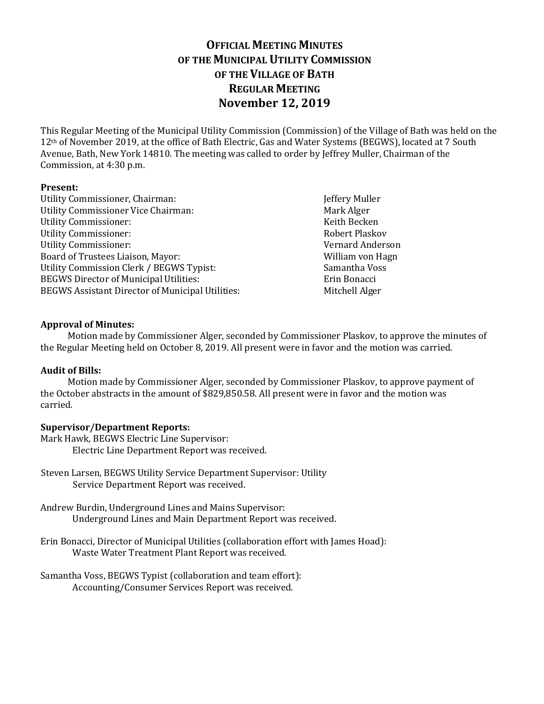# **OFFICIAL MEETING MINUTES OF THE MUNICIPAL UTILITY COMMISSION OF THE VILLAGE OF BATH REGULAR MEETING November 12, 2019**

This Regular Meeting of the Municipal Utility Commission (Commission) of the Village of Bath was held on the 12<sup>th</sup> of November 2019, at the office of Bath Electric, Gas and Water Systems (BEGWS), located at 7 South Avenue, Bath, New York 14810. The meeting was called to order by Jeffrey Muller, Chairman of the Commission, at 4:30 p.m.

# **Present:**

Utility Commissioner, Chairman: Jeffery Muller Utility Commissioner Vice Chairman: Mark Alger Utility Commissioner: The Commissioner of the Commissioner of the Commissioner of the Commissioner of the Commissioner of the Commissioner of the Commissioner of the Commissioner of the Commissioner of the Commissioner of Utility Commissioner: The Commissioner School and The Robert Plaskov Robert Plaskov Utility Commissioner: Vernard Anderson Board of Trustees Liaison, Mayor: William von Hagn Utility Commission Clerk / BEGWS Typist: Samantha Voss BEGWS Director of Municipal Utilities: Erin Bonacci BEGWS Assistant Director of Municipal Utilities: Mitchell Alger

# **Approval of Minutes:**

Motion made by Commissioner Alger, seconded by Commissioner Plaskov, to approve the minutes of the Regular Meeting held on October 8, 2019. All present were in favor and the motion was carried.

## **Audit of Bills:**

Motion made by Commissioner Alger, seconded by Commissioner Plaskov, to approve payment of the October abstracts in the amount of \$829,850.58. All present were in favor and the motion was carried.

## **Supervisor/Department Reports:**

Mark Hawk, BEGWS Electric Line Supervisor: Electric Line Department Report was received.

- Steven Larsen, BEGWS Utility Service Department Supervisor: Utility Service Department Report was received.
- Andrew Burdin, Underground Lines and Mains Supervisor: Underground Lines and Main Department Report was received.
- Erin Bonacci, Director of Municipal Utilities (collaboration effort with James Hoad): Waste Water Treatment Plant Report was received.
- Samantha Voss, BEGWS Typist (collaboration and team effort): Accounting/Consumer Services Report was received.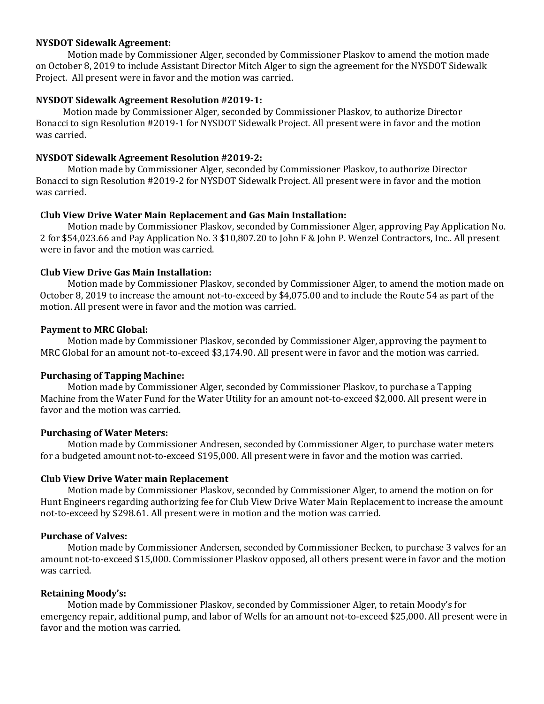## **NYSDOT Sidewalk Agreement:**

Motion made by Commissioner Alger, seconded by Commissioner Plaskov to amend the motion made on October 8, 2019 to include Assistant Director Mitch Alger to sign the agreement for the NYSDOT Sidewalk Project. All present were in favor and the motion was carried.

#### **NYSDOT Sidewalk Agreement Resolution #2019-1:**

Motion made by Commissioner Alger, seconded by Commissioner Plaskov, to authorize Director Bonacci to sign Resolution #2019-1 for NYSDOT Sidewalk Project. All present were in favor and the motion was carried.

#### **NYSDOT Sidewalk Agreement Resolution #2019-2:**

Motion made by Commissioner Alger, seconded by Commissioner Plaskov, to authorize Director Bonacci to sign Resolution #2019-2 for NYSDOT Sidewalk Project. All present were in favor and the motion was carried.

#### **Club View Drive Water Main Replacement and Gas Main Installation:**

Motion made by Commissioner Plaskov, seconded by Commissioner Alger, approving Pay Application No. 2 for \$54,023.66 and Pay Application No. 3 \$10,807.20 to John F & John P. Wenzel Contractors, Inc.. All present were in favor and the motion was carried.

#### **Club View Drive Gas Main Installation:**

Motion made by Commissioner Plaskov, seconded by Commissioner Alger, to amend the motion made on October 8, 2019 to increase the amount not-to-exceed by \$4,075.00 and to include the Route 54 as part of the motion. All present were in favor and the motion was carried.

#### **Payment to MRC Global:**

Motion made by Commissioner Plaskov, seconded by Commissioner Alger, approving the payment to MRC Global for an amount not-to-exceed \$3,174.90. All present were in favor and the motion was carried.

## **Purchasing of Tapping Machine:**

Motion made by Commissioner Alger, seconded by Commissioner Plaskov, to purchase a Tapping Machine from the Water Fund for the Water Utility for an amount not-to-exceed \$2,000. All present were in favor and the motion was carried.

#### **Purchasing of Water Meters:**

Motion made by Commissioner Andresen, seconded by Commissioner Alger, to purchase water meters for a budgeted amount not-to-exceed \$195,000. All present were in favor and the motion was carried.

#### **Club View Drive Water main Replacement**

Motion made by Commissioner Plaskov, seconded by Commissioner Alger, to amend the motion on for Hunt Engineers regarding authorizing fee for Club View Drive Water Main Replacement to increase the amount not-to-exceed by \$298.61. All present were in motion and the motion was carried.

## **Purchase of Valves:**

Motion made by Commissioner Andersen, seconded by Commissioner Becken, to purchase 3 valves for an amount not-to-exceed \$15,000. Commissioner Plaskov opposed, all others present were in favor and the motion was carried.

#### **Retaining Moody's:**

Motion made by Commissioner Plaskov, seconded by Commissioner Alger, to retain Moody's for emergency repair, additional pump, and labor of Wells for an amount not-to-exceed \$25,000. All present were in favor and the motion was carried.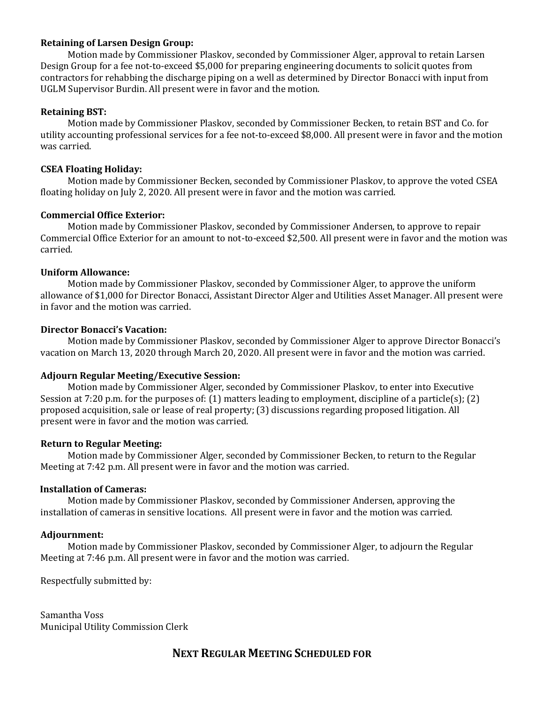## **Retaining of Larsen Design Group:**

Motion made by Commissioner Plaskov, seconded by Commissioner Alger, approval to retain Larsen Design Group for a fee not-to-exceed \$5,000 for preparing engineering documents to solicit quotes from contractors for rehabbing the discharge piping on a well as determined by Director Bonacci with input from UGLM Supervisor Burdin. All present were in favor and the motion.

# **Retaining BST:**

Motion made by Commissioner Plaskov, seconded by Commissioner Becken, to retain BST and Co. for utility accounting professional services for a fee not-to-exceed \$8,000. All present were in favor and the motion was carried.

# **CSEA Floating Holiday:**

Motion made by Commissioner Becken, seconded by Commissioner Plaskov, to approve the voted CSEA floating holiday on July 2, 2020. All present were in favor and the motion was carried.

# **Commercial Office Exterior:**

Motion made by Commissioner Plaskov, seconded by Commissioner Andersen, to approve to repair Commercial Office Exterior for an amount to not-to-exceed \$2,500. All present were in favor and the motion was carried.

## **Uniform Allowance:**

Motion made by Commissioner Plaskov, seconded by Commissioner Alger, to approve the uniform allowance of \$1,000 for Director Bonacci, Assistant Director Alger and Utilities Asset Manager. All present were in favor and the motion was carried.

# **Director Bonacci's Vacation:**

Motion made by Commissioner Plaskov, seconded by Commissioner Alger to approve Director Bonacci's vacation on March 13, 2020 through March 20, 2020. All present were in favor and the motion was carried.

## **Adjourn Regular Meeting/Executive Session:**

Motion made by Commissioner Alger, seconded by Commissioner Plaskov, to enter into Executive Session at 7:20 p.m. for the purposes of: (1) matters leading to employment, discipline of a particle(s); (2) proposed acquisition, sale or lease of real property; (3) discussions regarding proposed litigation. All present were in favor and the motion was carried.

## **Return to Regular Meeting:**

Motion made by Commissioner Alger, seconded by Commissioner Becken, to return to the Regular Meeting at 7:42 p.m. All present were in favor and the motion was carried.

## **Installation of Cameras:**

Motion made by Commissioner Plaskov, seconded by Commissioner Andersen, approving the installation of cameras in sensitive locations. All present were in favor and the motion was carried.

## **Adjournment:**

Motion made by Commissioner Plaskov, seconded by Commissioner Alger, to adjourn the Regular Meeting at 7:46 p.m. All present were in favor and the motion was carried.

Respectfully submitted by:

Samantha Voss Municipal Utility Commission Clerk

# **NEXT REGULAR MEETING SCHEDULED FOR**